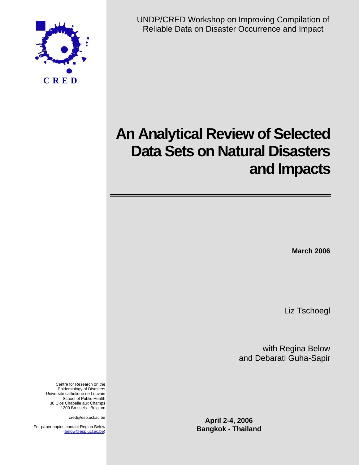

UNDP/CRED Workshop on Improving Compilation of Reliable Data on Disaster Occurrence and Impact

# **An Analytical Review of Selected Data Sets on Natural Disasters and Impacts**

**March 2006** 

Liz Tschoegl

with Regina Below and Debarati Guha-Sapir

**April 2-4, 2006 Bangkok - Thailand**

Centre for Research on the Epidemiology of Disasters Université catholique de Louvain School of Public Health 30 Clos Chapelle aux Champs 1200 Brussels - Belgium

cred@esp.ucl.ac.be

For paper copies,contact Regina Below (below@esp.ucl.ac.be)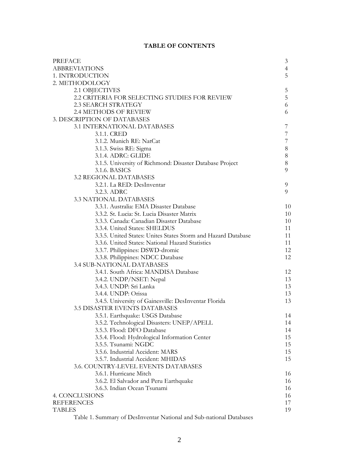# **TABLE OF CONTENTS**

| PREFACE                                                             | 3              |
|---------------------------------------------------------------------|----------------|
| <b>ABBREVIATIONS</b>                                                | $\overline{4}$ |
| 1. INTRODUCTION                                                     | 5              |
| 2. METHODOLOGY                                                      |                |
| 2.1 OBJECTIVES                                                      | 5              |
| 2.2 CRITERIA FOR SELECTING STUDIES FOR REVIEW                       | $\mathbf 5$    |
| <b>2.3 SEARCH STRATEGY</b>                                          | 6              |
| 2.4 METHODS OF REVIEW                                               | 6              |
| 3. DESCRIPTION OF DATABASES                                         |                |
| 3.1 INTERNATIONAL DATABASES                                         | 7              |
| 3.1.1. CRED                                                         | 7              |
| 3.1.2. Munich RE: NatCat                                            | $\overline{7}$ |
| 3.1.3. Swiss RE: Sigma                                              | $8\,$          |
| 3.1.4. ADRC: GLIDE                                                  | $8\,$          |
| 3.1.5. University of Richmond: Disaster Database Project            | 8              |
| 3.1.6. BASICS                                                       | 9              |
| <b>3.2 REGIONAL DATABASES</b>                                       |                |
| 3.2.1. La RED: DesInventar                                          | 9              |
| 3.2.3. ADRC                                                         | 9              |
| <b>3.3 NATIONAL DATABASES</b>                                       |                |
| 3.3.1. Australia: EMA Disaster Database                             | 10             |
| 3.3.2. St. Lucia: St. Lucia Disaster Matrix                         | 10             |
| 3.3.3. Canada: Canadian Disaster Database                           | 10             |
| 3.3.4. United States: SHELDUS                                       | 11             |
| 3.3.5. United States: Unites States Storm and Hazard Database       | 11             |
| 3.3.6. United States: National Hazard Statistics                    | 11             |
| 3.3.7. Philippines: DSWD-dromic                                     | 12             |
| 3.3.8. Philippines: NDCC Database                                   | 12             |
| 3.4 SUB-NATIONAL DATABASES                                          |                |
| 3.4.1. South Africa: MANDISA Database                               | 12             |
| 3.4.2. UNDP/NSET: Nepal                                             | 13             |
| 3.4.3. UNDP: Sri Lanka                                              | 13             |
| 3.4.4. UNDP: Orissa                                                 | 13             |
| 3.4.5. University of Gainesville: DesInventar Florida               | 13             |
| <b>3.5 DISASTER EVENTS DATABASES</b>                                |                |
| 3.5.1. Earthquake: USGS Database                                    | 14             |
| 3.5.2. Technological Disasters: UNEP/APELL                          | 14             |
| 3.5.3. Flood: DFO Database                                          | 14             |
| 3.5.4. Flood: Hydrological Information Center                       | 15             |
| 3.5.5. Tsunami: NGDC                                                | 15             |
| 3.5.6. Industrial Accident: MARS                                    | 15             |
| 3.5.7. Industrial Accident: MHIDAS                                  | 15             |
| 3.6. COUNTRY-LEVEL EVENTS DATABASES                                 |                |
| 3.6.1. Hurricane Mitch                                              | 16             |
| 3.6.2. El Salvador and Peru Earthquake                              | 16             |
| 3.6.3. Indian Ocean Tsunami                                         | 16             |
| 4. CONCLUSIONS                                                      | 16             |
| <b>REFERENCES</b>                                                   | 17             |
| <b>TABLES</b>                                                       | 19             |
| Table 1. Summary of DesInventar National and Sub-national Databases |                |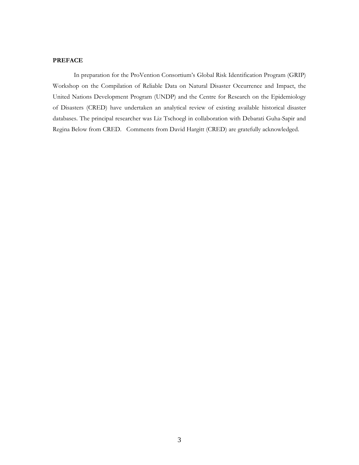# **PREFACE**

 In preparation for the ProVention Consortium's Global Risk Identification Program (GRIP) Workshop on the Compilation of Reliable Data on Natural Disaster Occurrence and Impact, the United Nations Development Program (UNDP) and the Centre for Research on the Epidemiology of Disasters (CRED) have undertaken an analytical review of existing available historical disaster databases. The principal researcher was Liz Tschoegl in collaboration with Debarati Guha-Sapir and Regina Below from CRED. Comments from David Hargitt (CRED) are gratefully acknowledged.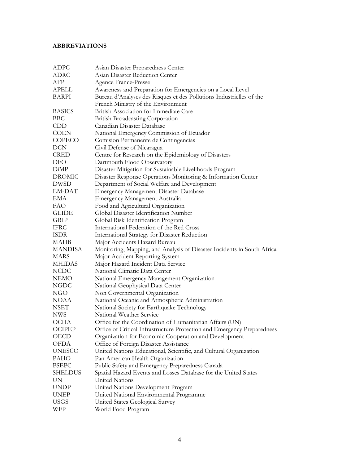# **ABBREVIATIONS**

| <b>ADPC</b>    | Asian Disaster Preparedness Center                                      |
|----------------|-------------------------------------------------------------------------|
| <b>ADRC</b>    | Asian Disaster Reduction Center                                         |
| AFP            | <b>Agence France-Presse</b>                                             |
| <b>APELL</b>   | Awareness and Preparation for Emergencies on a Local Level              |
| <b>BARPI</b>   | Bureau d'Analyses des Risques et des Pollutions Industrielles of the    |
|                | French Ministry of the Environment                                      |
| <b>BASICS</b>  | British Association for Immediate Care                                  |
| <b>BBC</b>     | <b>British Broadcasting Corporation</b>                                 |
| <b>CDD</b>     | Canadian Disaster Database                                              |
| <b>COEN</b>    | National Emergency Commission of Ecuador                                |
| COPECO         | Comision Permanente de Contingencias                                    |
| DCN            | Civil Defense of Nicaragua                                              |
| <b>CRED</b>    | Centre for Research on the Epidemiology of Disasters                    |
| DFO            | Dartmouth Flood Observatory                                             |
| DiMP           | Disaster Mitigation for Sustainable Livelihoods Program                 |
| <b>DROMIC</b>  | Disaster Response Operations Monitoring & Information Center            |
| <b>DWSD</b>    | Department of Social Welfare and Development                            |
| EM-DAT         | <b>Emergency Management Disaster Database</b>                           |
| EMA            | <b>Emergency Management Australia</b>                                   |
| <b>FAO</b>     | Food and Agricultural Organization                                      |
| <b>GLIDE</b>   | Global Disaster Identification Number                                   |
| <b>GRIP</b>    | Global Risk Identification Program                                      |
| <b>IFRC</b>    | International Federation of the Red Cross                               |
| <b>ISDR</b>    | International Strategy for Disaster Reduction                           |
| MAHB           | Major Accidents Hazard Bureau                                           |
| <b>MANDISA</b> | Monitoring, Mapping, and Analysis of Disaster Incidents in South Africa |
| MARS           | Major Accident Reporting System                                         |
| <b>MHIDAS</b>  | Major Hazard Incident Data Service                                      |
| <b>NCDC</b>    | National Climatic Data Center                                           |
| <b>NEMO</b>    | National Emergency Management Organization                              |
| NGDC           | National Geophysical Data Center                                        |
| NGO            | Non Governmental Organization                                           |
| NOAA           | National Oceanic and Atmospheric Administration                         |
| NSET           | National Society for Earthquake Technology                              |
| <b>NWS</b>     | National Weather Service                                                |
| OCHA           | Office for the Coordination of Humanitarian Affairs (UN)                |
| OCIPEP         | Office of Critical Infrastructure Protection and Emergency Preparedness |
| OECD           | Organization for Economic Cooperation and Development                   |
| <b>OFDA</b>    | Office of Foreign Disaster Assistance                                   |
| <b>UNESCO</b>  | United Nations Educational, Scientific, and Cultural Organization       |
| PAHO           | Pan American Health Organization                                        |
| <b>PSEPC</b>   | Public Safety and Emergency Preparedness Canada                         |
| <b>SHELDUS</b> | Spatial Hazard Events and Losses Database for the United States         |
| UN             | United Nations                                                          |
| <b>UNDP</b>    | United Nations Development Program                                      |
| <b>UNEP</b>    | United National Environmental Programme                                 |
| <b>USGS</b>    | United States Geological Survey                                         |
| WFP            | World Food Program                                                      |
|                |                                                                         |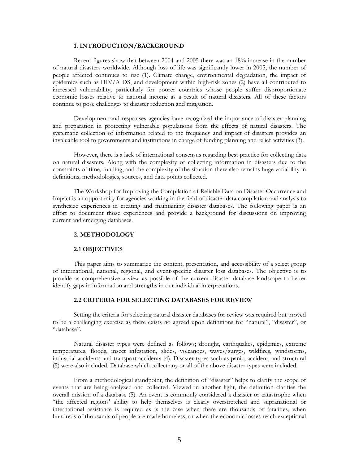#### **1. INTRODUCTION/BACKGROUND**

Recent figures show that between 2004 and 2005 there was an 18% increase in the number of natural disasters worldwide. Although loss of life was significantly lower in 2005, the number of people affected continues to rise (1). Climate change, environmental degradation, the impact of epidemics such as HIV/AIDS, and development within high-risk zones (2) have all contributed to increased vulnerability, particularly for poorer countries whose people suffer disproportionate economic losses relative to national income as a result of natural disasters. All of these factors continue to pose challenges to disaster reduction and mitigation.

Development and responses agencies have recognized the importance of disaster planning and preparation in protecting vulnerable populations from the effects of natural disasters. The systematic collection of information related to the frequency and impact of disasters provides an invaluable tool to governments and institutions in charge of funding planning and relief activities (3).

However, there is a lack of international consensus regarding best practice for collecting data on natural disasters. Along with the complexity of collecting information in disasters due to the constraints of time, funding, and the complexity of the situation there also remains huge variability in definitions, methodologies, sources, and data points collected.

The Workshop for Improving the Compilation of Reliable Data on Disaster Occurrence and Impact is an opportunity for agencies working in the field of disaster data compilation and analysis to synthesize experiences in creating and maintaining disaster databases. The following paper is an effort to document those experiences and provide a background for discussions on improving current and emerging databases.

#### **2. METHODOLOGY**

#### **2.1 OBJECTIVES**

This paper aims to summarize the content, presentation, and accessibility of a select group of international, national, regional, and event-specific disaster loss databases. The objective is to provide as comprehensive a view as possible of the current disaster database landscape to better identify gaps in information and strengths in our individual interpretations.

# **2.2 CRITERIA FOR SELECTING DATABASES FOR REVIEW**

Setting the criteria for selecting natural disaster databases for review was required but proved to be a challenging exercise as there exists no agreed upon definitions for "natural", "disaster", or "database".

Natural disaster types were defined as follows; drought, earthquakes, epidemics, extreme temperatures, floods, insect infestation, slides, volcanoes, waves/surges, wildfires, windstorms, industrial accidents and transport accidents (4). Disaster types such as panic, accident, and structural (5) were also included. Database which collect any or all of the above disaster types were included.

From a methodological standpoint, the definition of "disaster" helps to clarify the scope of events that are being analyzed and collected. Viewed in another light, the definition clarifies the overall mission of a database (5). An event is commonly considered a disaster or catastrophe when "the affected regions' ability to help themselves is clearly overstretched and supranational or international assistance is required as is the case when there are thousands of fatalities, when hundreds of thousands of people are made homeless, or when the economic losses reach exceptional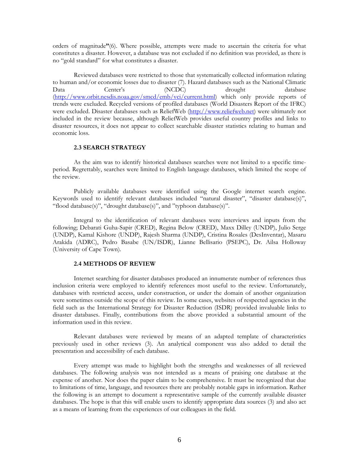orders of magnitude**"**(6). Where possible, attempts were made to ascertain the criteria for what constitutes a disaster. However, a database was not excluded if no definition was provided, as there is no "gold standard" for what constitutes a disaster.

Reviewed databases were restricted to those that systematically collected information relating to human and/or economic losses due to disaster (7). Hazard databases such as the National Climatic Data Center's (NCDC) drought database (http://www.orbit.nesdis.noaa.gov/smcd/emb/vci/current.html) which only provide reports of trends were excluded. Recycled versions of profiled databases (World Disasters Report of the IFRC) were excluded. Disaster databases such as ReliefWeb (http://www.reliefweb.net) were ultimately not included in the review because, although ReliefWeb provides useful country profiles and links to disaster resources, it does not appear to collect searchable disaster statistics relating to human and economic loss.

#### **2.3 SEARCH STRATEGY**

As the aim was to identify historical databases searches were not limited to a specific timeperiod. Regrettably, searches were limited to English language databases, which limited the scope of the review.

Publicly available databases were identified using the Google internet search engine. Keywords used to identify relevant databases included "natural disaster", "disaster database(s)", "flood database(s)", "drought database(s)", and "typhoon database(s)".

Integral to the identification of relevant databases were interviews and inputs from the following; Debarati Guha-Sapir (CRED), Regina Below (CRED), Maxx Dilley (UNDP), Julio Serge (UNDP), Kamal Kishore (UNDP), Rajesh Sharma (UNDP), Cristina Rosales (DesInventar), Masaru Arakida (ADRC), Pedro Basabe (UN/ISDR), Lianne Bellisario (PSEPC), Dr. Ailsa Holloway (University of Cape Town).

#### **2.4 METHODS OF REVIEW**

Internet searching for disaster databases produced an innumerate number of references thus inclusion criteria were employed to identify references most useful to the review. Unfortunately, databases with restricted access, under construction, or under the domain of another organization were sometimes outside the scope of this review. In some cases, websites of respected agencies in the field such as the International Strategy for Disaster Reduction (ISDR) provided invaluable links to disaster databases. Finally, contributions from the above provided a substantial amount of the information used in this review.

Relevant databases were reviewed by means of an adapted template of characteristics previously used in other reviews (3). An analytical component was also added to detail the presentation and accessibility of each database.

Every attempt was made to highlight both the strengths and weaknesses of all reviewed databases. The following analysis was not intended as a means of praising one database at the expense of another. Nor does the paper claim to be comprehensive. It must be recognized that due to limitations of time, language, and resources there are probably notable gaps in information. Rather the following is an attempt to document a representative sample of the currently available disaster databases. The hope is that this will enable users to identify appropriate data sources (3) and also act as a means of learning from the experiences of our colleagues in the field.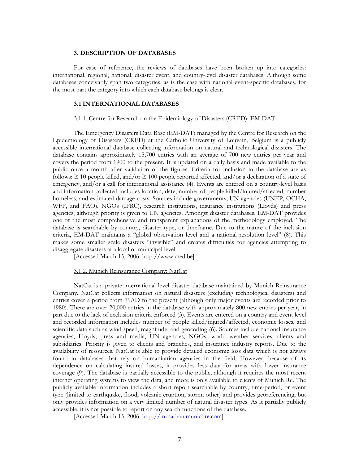#### **3. DESCRIPTION OF DATABASES**

For ease of reference, the reviews of databases have been broken up into categories: international, regional, national, disaster event, and country-level disaster databases. Although some databases conceivably span two categories, as is the case with national event-specific databases, for the most part the category into which each database belongs is clear.

#### **3.1 INTERNATIONAL DATABASES**

#### 3.1.1. Centre for Research on the Epidemiology of Disasters (CRED): EM-DAT

The Emergency Disasters Data Base (EM-DAT) managed by the Centre for Research on the Epidemiology of Disasters (CRED) at the Catholic University of Louvain, Belgium is a publicly accessible international database collecting information on natural and technological disasters. The database contains approximately 15,700 entries with an average of 700 new entries per year and covers the period from 1900 to the present. It is updated on a daily basis and made available to the public once a month after validation of the figures. Criteria for inclusion in the database are as follows:  $\geq$  10 people killed, and/or  $\geq$  100 people reported affected, and/or a declaration of a state of emergency, and/or a call for international assistance (4). Events are entered on a country-level basis and information collected includes location, date, number of people killed/injured/affected, number homeless, and estimated damage costs. Sources include governments, UN agencies (UNEP, OCHA, WFP, and FAO), NGOs (IFRC), research institutions, insurance institutions (Lloyds) and press agencies, although priority is given to UN agencies. Amongst disaster databases, EM-DAT provides one of the most comprehensive and transparent explanations of the methodology employed. The database is searchable by country, disaster type, or timeframe. Due to the nature of the inclusion criteria, EM-DAT maintains a "global observation level and a national resolution level" (8). This makes some smaller scale disasters "invisible" and creates difficulties for agencies attempting to disaggregate disasters at a local or municipal level.

[Accessed March 15, 2006: http://www.cred.be]

# 3.1.2. Münich Reinsurance Company: NatCat

NatCat is a private international level disaster database maintained by Munich Reinsurance Company. NatCat collects information on natural disasters (excluding technological disasters) and entries cover a period from 79AD to the present (although only major events are recorded prior to 1980). There are over 20,000 entries in the database with approximately 800 new entries per year, in part due to the lack of exclusion criteria enforced (3). Events are entered on a country and event level and recorded information includes number of people killed/injured/affected, economic losses, and scientific data such as wind speed, magnitude, and geocoding (6). Sources include national insurance agencies, Lloyds, press and media, UN agencies, NGOs, world weather services, clients and subsidiaries. Priority is given to clients and branches, and insurance industry reports. Due to the availability of resources, NatCat is able to provide detailed economic loss data which is not always found in databases that rely on humanitarian agencies in the field. However, because of its dependence on calculating insured losses, it provides less data for areas with lower insurance coverage (9). The database is partially accessible to the public, although it requires the most recent internet operating systems to view the data, and more is only available to clients of Munich Re. The publicly available information includes a short report searchable by country, time-period, or event type (limited to earthquake, flood, volcanic eruption, storm, other) and provides georeferencing, but only provides information on a very limited number of natural disaster types. As it partially publicly accessible, it is not possible to report on any search functions of the database.

[Accessed March 15, 2006: http://mrnathan.munichre.com]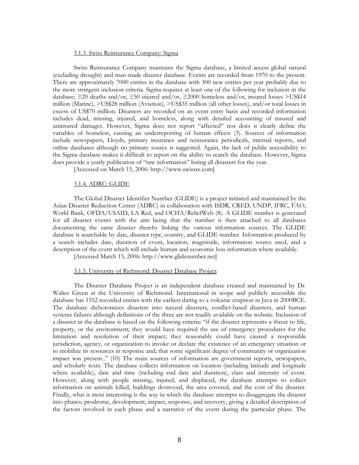# 3.1.3. Swiss Reinsurance Company: Sigma

Swiss Reinsurance Company maintains the Sigma database, a limited access global natural (excluding drought) and man-made disaster database. Events are recorded from 1970 to the present. There are approximately 7000 entries in the database with 300 new entries per year probably due to the more stringent inclusion criteria. Sigma requires at least one of the following for inclusion in the database; ≥20 deaths and/or, ≥50 injured and/or, ≥2000 homeless and/or, insured losses >US\$14 million (Marine), >US\$28 million (Aviation), >US\$35 million (all other losses), and/or total losses in excess of US\$70 million. Disasters are recorded on an event entry basis and recorded information includes dead, missing, injured, and homeless, along with detailed accounting of insured and uninsured damages. However, Sigma does not report "affected" nor does it clearly define the variables of homeless, causing an underreporting of human effects (3). Sources of information include newspapers, Lloyds, primary insurance and reinsurance periodicals, internal reports, and online databases although no primary source is suggested. Again, the lack of public accessibility to the Sigma database makes it difficult to report on the ability to search the database. However, Sigma does provide a yearly publication of "raw information" listing all disasters for the year.

[Accessed on March 15, 2006: http://www.swissre.com]

#### 3.1.4. ADRC: GLIDE

The Global Disaster Identifier Number (GLIDE) is a project initiated and maintained by the Asian Disaster Reduction Center (ADRC) in collaboration with ISDR, CRED, UNDP, IFRC, FAO, World Bank, OFDA/USAID, LA Red, and OCHA/ReliefWeb (8). A GLIDE number is generated for all disaster events with the aim being that the number is then attached to all databases documenting the same disaster thereby linking the various information sources. The GLIDE database is searchable by date, disaster type, country, and GLIDE number. Information produced by a search includes date, duration of event, location, magnitude, information source used, and a description of the event which will include human and economic loss information where available.

[Accessed March 15, 2006: http://www.glidenumber.net]

#### 3.1.5. University of Richmond: Disaster Database Project

The Disaster Database Project is an independent database created and maintained by Dr. Walter Green at the University of Richmond. International in scope and publicly accessible the database has 1552 recorded entries with the earliest dating to a volcanic eruption in Java in 2000BCE. The database dichotomizes disasters into natural disasters, conflict-based disasters, and human systems failures although definitions of the three are not readily available on the website. Inclusion of a disaster in the database is based on the following criteria: "if the disaster represents a threat to life, property, or the environment; they would have required the use of emergency procedures for the limitation and resolution of their impact; they reasonably could have caused a responsible jurisdiction, agency, or organization to invoke or declare the existence of an emergency situation or to mobilize its resources in response and; that some significant degree of community or organization impact was present.." (10) The main sources of information are government reports, newspapers, and scholarly texts. The database collects information on location (including latitude and longitude where available), date and time (including end date and duration), class and intensity of event. However, along with people missing, injured, and displaced, the database attempts to collect information on animals killed, buildings destroyed, the area covered, and the cost of the disaster. Finally, what is most interesting is the way in which the database attempts to disaggregate the disaster into phases; prodrome, development, impact, response, and recovery, giving a detailed description of the factors involved in each phase and a narrative of the event during the particular phase. The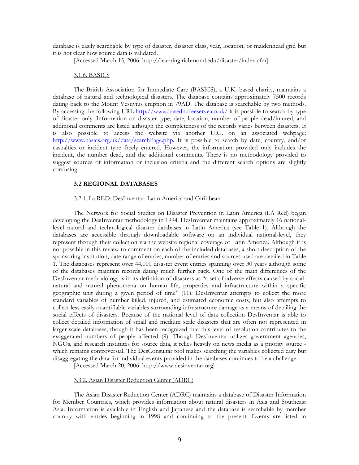database is easily searchable by type of disaster, disaster class, year, location, or maidenhead grid but it is not clear how source data is validated.

[Accessed March 15, 2006: http://learning.richmond.edu/disaster/index.cfm]

#### 3.1.6. BASICS

The British Association for Immediate Care (BASICS), a U.K. based charity, maintains a database of natural and technological disasters. The database contains approximately 7500 records dating back to the Mount Vesuvius eruption in 79AD. The database is searchable by two methods. By accessing the following URL http://www.basedn.freeserve.co.uk/ it is possible to search by type of disaster only. Information on disaster type, date, location, number of people dead/injured, and additional comments are listed although the completeness of the records varies between disasters. It is also possible to access the website via another URL on an associated webpage: http://www.basics.org.uk/data/searchPage.php. It is possible to search by date, country, and/or casualties or incident type freely entered. However, the information provided only includes the incident, the number dead, and the additional comments. There is no methodology provided to suggest sources of information or inclusion criteria and the different search options are slightly confusing.

# **3.2 REGIONAL DATABASES**

#### 3.2.1. La RED: DesInventar: Latin America and Caribbean

The Network for Social Studies on Disaster Prevention in Latin America (LA Red) began developing the DesInventar methodology in 1994. DesInventar maintains approximately 16 nationallevel natural and technological disaster databases in Latin America (see Table 1). Although the databases are accessible through downloadable software on an individual national-level, they represent through their collection via the website regional coverage of Latin America. Although it is not possible in this review to comment on each of the included databases, a short description of the sponsoring institution, date range of entries, number of entries and sources used are detailed in Table 1. The databases represent over 44,000 disaster event entries spanning over 30 years although some of the databases maintain records dating much further back. One of the main differences of the DesInventar methodology is in its definition of disasters as "a set of adverse effects caused by socialnatural and natural phenomena on human life, properties and infrastructure within a specific geographic unit during a given period of time" (11). DesInventar attempts to collect the more standard variables of number killed, injured, and estimated economic costs, but also attempts to collect less easily quantifiable variables surrounding infrastructure damage as a means of detailing the social effects of disasters. Because of the national level of data collection DesInventar is able to collect detailed information of small and medium scale disasters that are often not represented in larger scale databases, though it has been recognized that this level of resolution contributes to the exaggerated numbers of people affected (9). Though DesInventar utilizes government agencies, NGOs, and research institutes for source data, it relies heavily on news media as a priority source which remains controversial. The DesConsultar tool makes searching the variables collected easy but disaggregating the data for individual events provided in the databases continues to be a challenge.

[Accessed March 20, 2006: http://www.desinventar.org]

#### 3.3.2. Asian Disaster Reduction Center (ADRC)

The Asian Disaster Reduction Center (ADRC) maintains a database of Disaster Information for Member Countries, which provides information about natural disasters in Asia and Southeast Asia. Information is available in English and Japanese and the database is searchable by member country with entries beginning in 1998 and continuing to the present. Events are listed in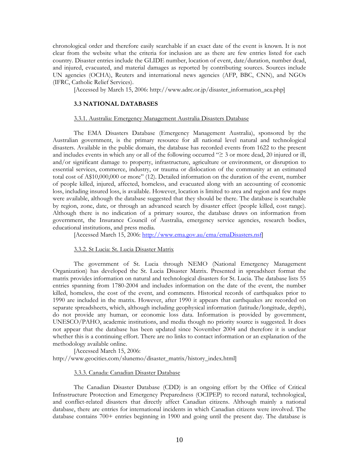chronological order and therefore easily searchable if an exact date of the event is known. It is not clear from the website what the criteria for inclusion are as there are few entries listed for each country. Disaster entries include the GLIDE number, location of event, date/duration, number dead, and injured, evacuated, and material damages as reported by contributing sources. Sources include UN agencies (OCHA), Reuters and international news agencies (AFP, BBC, CNN), and NGOs (IFRC, Catholic Relief Services).

[Accessed by March 15, 2006: http://www.adrc.or.jp/disaster\_information\_aca.php]

#### **3.3 NATIONAL DATABASES**

#### 3.3.1. Australia: Emergency Management Australia Disasters Database

The EMA Disasters Database (Emergency Management Australia), sponsored by the Australian government, is the primary resource for all national level natural and technological disasters. Available in the public domain, the database has recorded events from 1622 to the present and includes events in which any or all of the following occurred "≥ 3 or more dead, 20 injured or ill, and/or significant damage to property, infrastructure, agriculture or environment, or disruption to essential services, commerce, industry, or trauma or dislocation of the community at an estimated total cost of A\$10,000,000 or more" (12). Detailed information on the duration of the event, number of people killed, injured, affected, homeless, and evacuated along with an accounting of economic loss, including insured loss, is available. However, location is limited to area and region and few maps were available, although the database suggested that they should be there. The database is searchable by region, zone, date, or through an advanced search by disaster effect (people killed, cost range). Although there is no indication of a primary source, the database draws on information from government, the Insurance Council of Australia, emergency service agencies, research bodies, educational institutions, and press media.

[Accessed March 15, 2006: http://www.ema.gov.au/ema/emaDisasters.nsf]

#### 3.3.2. St Lucia: St. Lucia Disaster Matrix

The government of St. Lucia through NEMO (National Emergency Management Organization) has developed the St. Lucia Disaster Matrix. Presented in spreadsheet format the matrix provides information on natural and technological disasters for St. Lucia. The database lists 55 entries spanning from 1780-2004 and includes information on the date of the event, the number killed, homeless, the cost of the event, and comments. Historical records of earthquakes prior to 1990 are included in the matrix. However, after 1990 it appears that earthquakes are recorded on separate spreadsheets, which, although including geophysical information (latitude/longitude, depth), do not provide any human, or economic loss data. Information is provided by government, UNESCO/PAHO, academic institutions, and media though no priority source is suggested. It does not appear that the database has been updated since November 2004 and therefore it is unclear whether this is a continuing effort. There are no links to contact information or an explanation of the methodology available online.

[Accessed March 15, 2006: http://www.geocities.com/slunemo/disaster\_matrix/history\_index.html]

#### 3.3.3. Canada: Canadian Disaster Database

The Canadian Disaster Database (CDD) is an ongoing effort by the Office of Critical Infrastructure Protection and Emergency Preparedness (OCIPEP) to record natural, technological, and conflict-related disasters that directly affect Canadian citizens. Although mainly a national database, there are entries for international incidents in which Canadian citizens were involved. The database contains 700+ entries beginning in 1900 and going until the present day. The database is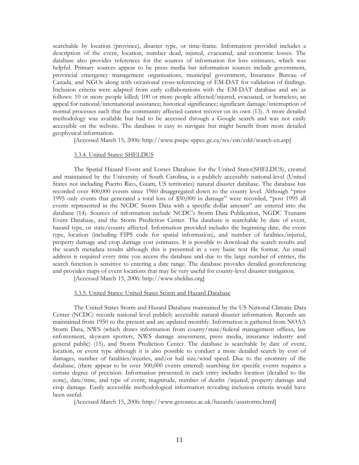searchable by location (province), disaster type, or time-frame. Information provided includes a description of the event, location, number dead, injured, evacuated, and economic losses. The database also provides references for the sources of information for loss estimates, which was helpful. Primary sources appear to be press media but information sources include government, provincial emergency management organizations, municipal government, Insurance Bureau of Canada, and NGOs along with occasional cross-referencing of EM-DAT for validation of findings. Inclusion criteria were adapted from early collaborations with the EM-DAT database and are as follows: 10 or more people killed; 100 or more people affected/injured, evacuated, or homeless; an appeal for national/international assistance; historical significance; significant damage/interruption of normal processes such that the community affected cannot recover on its own (13). A more detailed methodology was available but had to be accessed through a Google search and was not easily accessible on the website. The database is easy to navigate but might benefit from more detailed geophysical information.

[Accessed March 15, 2006: http://www.psepc-sppcc.gc.ca/res/em/cdd/search-en.asp]

# 3.3.4. United States: SHELDUS

The Spatial Hazard Event and Losses Database for the United States(SHELDUS), created and maintained by the University of South Carolina, is a publicly accessibly national-level (United States not including Puerto Rico, Guam, US territories) natural disaster database. The database has recorded over 400,000 events since 1960 disaggregated down to the county level. Although "prior 1995 only events that generated a total loss of \$50,000 in damage" were recorded, "post 1995 all events represented in the NCDC Storm Data with a specific dollar amount" are entered into the database (14). Sources of information include NCDC's Storm Data Publication, NGDC Tsunami Event Database, and the Storm Prediction Center. The database is searchable by date of event, hazard type, or state/county affected. Information provided includes the beginning date, the event type, location (including FIPS code for spatial information), and number of fatalities/injured, property damage and crop damage cost estimates. It is possible to download the search results and the search metadata results although this is presented in a very basic text file format. An email address is required every time you access the database and due to the large number of entries, the search function is sensitive to entering a date range. The database provides detailed georeferencing and provides maps of event locations that may be very useful for county-level disaster mitigation.

[Accessed March 15, 2006: http://www.sheldus.org]

#### 3.3.5. United States: United States Storm and Hazard Database

The United States Storm and Hazard Database maintained by the US National Climatic Data Center (NCDC) records national level publicly accessible natural disaster information. Records are maintained from 1950 to the present and are updated monthly. Information is gathered from NOAA Storm Data, NWS (which draws information from county/state/federal management offices, law enforcement, skywarn spotters, NWS damage assessment, press media, insurance industry and general public) (15), and Storm Prediction Center. The database is searchable by date of event, location, or event type although it is also possible to conduct a more detailed search by cost of damages, number of fatalities/injuries, and/or hail size/wind speed. Due to the enormity of the database, (there appear to be over 500,000 events entered) searching for specific events requires a certain degree of precision. Information presented in each entry includes location (detailed to the zone), date/time, and type of event, magnitude, number of deaths /injured, property damage and crop damage. Easily accessible methodological information revealing inclusion criteria would have been useful.

[Accessed March 15, 2006: http://www.gesource.ac.uk/hazards/usastorms.html]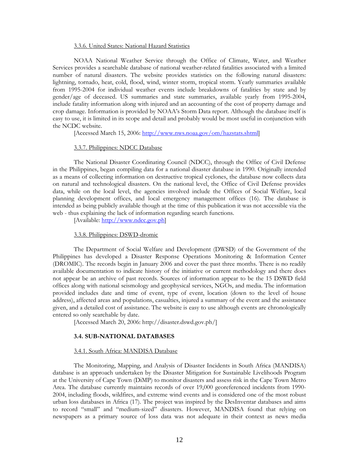#### 3.3.6. United States: National Hazard Statistics

NOAA National Weather Service through the Office of Climate, Water, and Weather Services provides a searchable database of national weather-related fatalities associated with a limited number of natural disasters. The website provides statistics on the following natural disasters: lightning, tornado, heat, cold, flood, wind, winter storm, tropical storm. Yearly summaries available from 1995-2004 for individual weather events include breakdowns of fatalities by state and by gender/age of deceased. US summaries and state summaries, available yearly from 1995-2004, include fatality information along with injured and an accounting of the cost of property damage and crop damage. Information is provided by NOAA's Storm Data report. Although the database itself is easy to use, it is limited in its scope and detail and probably would be most useful in conjunction with the NCDC website.

[Accessed March 15, 2006: http://www.nws.noaa.gov/om/hazstats.shtml]

#### 3.3.7. Philippines: NDCC Database

The National Disaster Coordinating Council (NDCC), through the Office of Civil Defense in the Philippines, began compiling data for a national disaster database in 1990. Originally intended as a means of collecting information on destructive tropical cyclones, the database now collects data on natural and technological disasters. On the national level, the Office of Civil Defense provides data, while on the local level, the agencies involved include the Offices of Social Welfare, local planning development offices, and local emergency management offices (16). The database is intended as being publicly available though at the time of this publication it was not accessible via the web - thus explaining the lack of information regarding search functions.

[Available: http://www.ndcc.gov.ph]

#### 3.3.8. Philippines: DSWD-dromic

The Department of Social Welfare and Development (DWSD) of the Government of the Philippines has developed a Disaster Response Operations Monitoring & Information Center (DROMIC). The records begin in January 2006 and cover the past three months. There is no readily available documentation to indicate history of the initiative or current methodology and there does not appear be an archive of past records. Sources of information appear to be the 15 DSWD field offices along with national seismology and geophysical services, NGOs, and media. The information provided includes date and time of event, type of event, location (down to the level of house address), affected areas and populations, casualties, injured a summary of the event and the assistance given, and a detailed cost of assistance. The website is easy to use although events are chronologically entered so only searchable by date.

[Accessed March 20, 2006: http://disaster.dswd.gov.ph/]

#### **3.4. SUB-NATIONAL DATABASES**

#### 3.4.1. South Africa: MANDISA Database

The Monitoring, Mapping, and Analysis of Disaster Incidents in South Africa (MANDISA) database is an approach undertaken by the Disaster Mitigation for Sustainable Livelihoods Program at the University of Cape Town (DiMP) to monitor disasters and assess risk in the Cape Town Metro Area. The database currently maintains records of over 19,000 georeferenced incidents from 1990- 2004, including floods, wildfires, and extreme wind events and is considered one of the most robust urban loss databases in Africa (17). The project was inspired by the DesInventar databases and aims to record "small" and "medium-sized" disasters. However, MANDISA found that relying on newspapers as a primary source of loss data was not adequate in their context as news media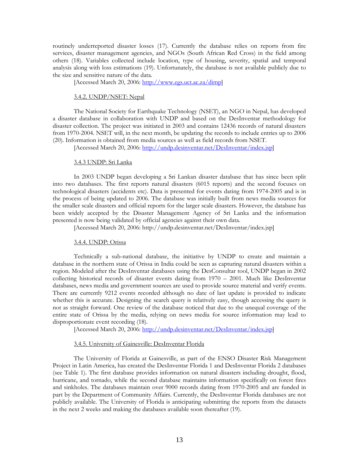routinely underreported disaster losses (17). Currently the database relies on reports from fire services, disaster management agencies, and NGOs (South African Red Cross) in the field among others (18). Variables collected include location, type of housing, severity, spatial and temporal analysis along with loss estimations (19). Unfortunately, the database is not available publicly due to the size and sensitive nature of the data.

[Accessed March 20, 2006: http://www.egs.uct.ac.za/dimp]

#### 3.4.2. UNDP/NSET: Nepal

The National Society for Earthquake Technology (NSET), an NGO in Nepal, has developed a disaster database in collaboration with UNDP and based on the DesInventar methodology for disaster collection. The project was initiated in 2003 and contains 12436 records of natural disasters from 1970-2004. NSET will, in the next month, be updating the records to include entries up to 2006 (20). Information is obtained from media sources as well as field records from NSET.

[Accessed March 20, 2006: http://undp.desinventar.net/DesInventar/index.jsp]

#### 3.4.3 UNDP: Sri Lanka

In 2003 UNDP began developing a Sri Lankan disaster database that has since been split into two databases. The first reports natural disasters (6015 reports) and the second focuses on technological disasters (accidents etc). Data is presented for events dating from 1974-2005 and is in the process of being updated to 2006. The database was initially built from news media sources for the smaller scale disasters and official reports for the larger scale disasters. However, the database has been widely accepted by the Disaster Management Agency of Sri Lanka and the information presented is now being validated by official agencies against their own data.

[Accessed March 20, 2006: http://undp.desinventar.net/DesInventar/index.jsp]

#### 3.4.4. UNDP: Orissa

Technically a sub-national database, the initiative by UNDP to create and maintain a database in the northern state of Orissa in India could be seen as capturing natural disasters within a region. Modeled after the DesInventar databases using the DesConsultar tool, UNDP began in 2002 collecting historical records of disaster events dating from 1970 – 2001. Much like DesInventar databases, news media and government sources are used to provide source material and verify events. There are currently 9212 events recorded although no date of last update is provided to indicate whether this is accurate. Designing the search query is relatively easy, though accessing the query is not as straight forward. One review of the database noticed that due to the unequal coverage of the entire state of Orissa by the media, relying on news media for source information may lead to disproportionate event recording (18).

[Accessed March 20, 2006: http://undp.desinventar.net/DesInventar/index.jsp]

#### 3.4.5. University of Gainesville: DesInventar Florida

The University of Florida at Gainesville, as part of the ENSO Disaster Risk Management Project in Latin America, has created the DesInventar Florida 1 and DesInventar Florida 2 databases (see Table 1). The first database provides information on natural disasters including drought, flood, hurricane, and tornado, while the second database maintains information specifically on forest fires and sinkholes. The databases maintain over 9000 records dating from 1970-2005 and are funded in part by the Department of Community Affairs. Currently, the DesInventar Florida databases are not publicly available. The University of Florida is anticipating submitting the reports from the datasets in the next 2 weeks and making the databases available soon thereafter (19).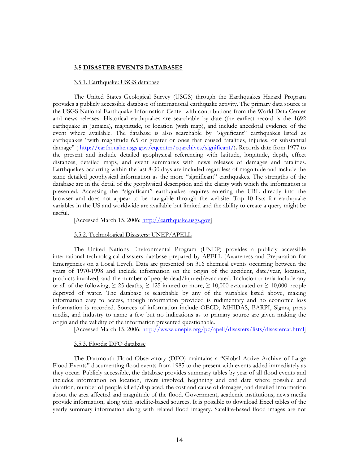#### **3.5 DISASTER EVENTS DATABASES**

#### 3.5.1. Earthquake: USGS database

The United States Geological Survey (USGS) through the Earthquakes Hazard Program provides a publicly accessible database of international earthquake activity. The primary data source is the USGS National Earthquake Information Center with contributions from the World Data Center and news releases. Historical earthquakes are searchable by date (the earliest record is the 1692 earthquake in Jamaica), magnitude, or location (with map), and include anecdotal evidence of the event where available. The database is also searchable by "significant" earthquakes listed as earthquakes "with magnitude 6.5 or greater or ones that caused fatalities, injuries, or substantial damage" ( http://earthquake.usgs.gov/eqcenter/eqarchives/significant/)**.** Records date from 1977 to the present and include detailed geophysical referencing with latitude, longitude, depth, effect distances, detailed maps, and event summaries with news releases of damages and fatalities. Earthquakes occurring within the last 8-30 days are included regardless of magnitude and include the same detailed geophysical information as the more "significant" earthquakes. The strengths of the database are in the detail of the geophysical description and the clarity with which the information is presented. Accessing the "significant" earthquakes requires entering the URL directly into the browser and does not appear to be navigable through the website. Top 10 lists for earthquake variables in the US and worldwide are available but limited and the ability to create a query might be useful.

[Accessed March 15, 2006: http://earthquake.usgs.gov]

#### 3.5.2. Technological Disasters: UNEP/APELL

The United Nations Environmental Program (UNEP) provides a publicly accessible international technological disasters database prepared by APELL (Awareness and Preparation for Emergencies on a Local Level). Data are presented on 316 chemical events occurring between the years of 1970-1998 and include information on the origin of the accident, date/year, location, products involved, and the number of people dead/injured/evacuated. Inclusion criteria include any or all of the following;  $\geq 25$  deaths,  $\geq 125$  injured or more,  $\geq 10,000$  evacuated or  $\geq 10,000$  people deprived of water. The database is searchable by any of the variables listed above, making information easy to access, though information provided is rudimentary and no economic loss information is recorded. Sources of information include OECD, MHIDAS, BARPI, Sigma, press media, and industry to name a few but no indications as to primary source are given making the origin and the validity of the information presented questionable.

[Accessed March 15, 2006: http://www.unepie.org/pc/apell/disasters/lists/disastercat.html]

#### 3.5.3. Floods: DFO database

The Dartmouth Flood Observatory (DFO) maintains a "Global Active Archive of Large Flood Events" documenting flood events from 1985 to the present with events added immediately as they occur. Publicly accessible, the database provides summary tables by year of all flood events and includes information on location, rivers involved, beginning and end date where possible and duration, number of people killed/displaced, the cost and cause of damages, and detailed information about the area affected and magnitude of the flood. Government, academic institutions, news media provide information, along with satellite-based sources. It is possible to download Excel tables of the yearly summary information along with related flood imagery. Satellite-based flood images are not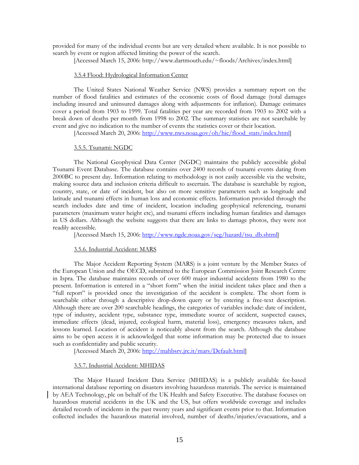provided for many of the individual events but are very detailed where available. It is not possible to search by event or region affected limiting the power of the search.

[Accessed March 15, 2006: http://www.dartmouth.edu/~floods/Archives/index.html]

#### 3.5.4 Flood: Hydrological Information Center

The United States National Weather Service (NWS) provides a summary report on the number of flood fatalities and estimates of the economic costs of flood damage (total damages including insured and uninsured damages along with adjustments for inflation). Damage estimates cover a period from 1903 to 1999. Total fatalities per year are recorded from 1903 to 2002 with a break down of deaths per month from 1998 to 2002. The summary statistics are not searchable by event and give no indication to the number of events the statistics cover or their location.

[Accessed March 20, 2006: http://www.nws.noaa.gov/oh/hic/flood\_stats/index.html]

#### 3.5.5. Tsunami: NGDC

The National Geophysical Data Center (NGDC) maintains the publicly accessible global Tsunami Event Database. The database contains over 2400 records of tsunami events dating from 2000BC to present day. Information relating to methodology is not easily accessible via the website, making source data and inclusion criteria difficult to ascertain. The database is searchable by region, country, state, or date of incident, but also on more sensitive parameters such as longitude and latitude and tsunami effects in human loss and economic effects. Information provided through the search includes date and time of incident, location including geophysical referencing, tsunami parameters (maximum water height etc), and tsunami effects including human fatalities and damages in US dollars. Although the website suggests that there are links to damage photos, they were not readily accessible.

[Accessed March 15, 2006: http://www.ngdc.noaa.gov/seg/hazard/tsu\_db.shtml]

#### 3.5.6. Industrial Accident: MARS

The Major Accident Reporting System (MARS) is a joint venture by the Member States of the European Union and the OECD, submitted to the European Commission Joint Research Centre in Ispra. The database maintains records of over 600 major industrial accidents from 1980 to the present. Information is entered in a "short form" when the initial incident takes place and then a "full report" is provided once the investigation of the accident is complete. The short form is searchable either through a descriptive drop-down query or by entering a free-text description. Although there are over 200 searchable headings, the categories of variables include: date of incident, type of industry, accident type, substance type, immediate source of accident, suspected causes, immediate effects (dead, injured, ecological harm, material loss), emergency measures taken, and lessons learned. Location of accident is noticeably absent from the search. Although the database aims to be open access it is acknowledged that some information may be protected due to issues such as confidentiality and public security.

[Accessed March 20, 2006: http://mahbsrv.jrc.it/mars/Default.html]

#### 3.5.7. Industrial Accident: MHIDAS

The Major Hazard Incident Data Service (MHIDAS) is a publicly available fee-based international database reporting on disasters involving hazardous materials. The service is maintained by AEA Technology, plc on behalf of the UK Health and Safety Executive. The database focuses on hazardous material accidents in the UK and the US, but offers worldwide coverage and includes detailed records of incidents in the past twenty years and significant events prior to that. Information collected includes the hazardous material involved, number of deaths/injuries/evacuations, and a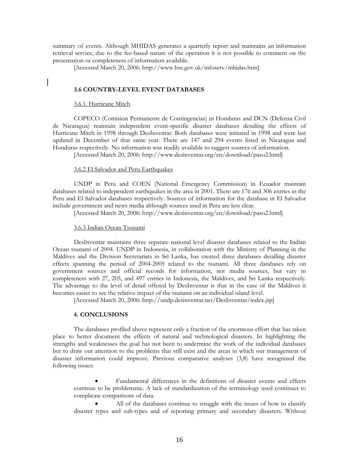summary of events. Although MHIDAS generates a quarterly report and maintains an information retrieval service, due to the fee-based nature of the operation it is not possible to comment on the presentation or completeness of information available.

[Accessed March 20, 2006: http://www.hse.gov.uk/infoserv/mhidas.htm]

#### **3.6 COUNTRY-LEVEL EVENT DATABASES**

#### 3.6.1. Hurricane Mitch

COPECO (Comision Permanente de Contingencias) in Honduras and DCN (Defensa Civil de Nicaragua) maintain independent event-specific disaster databases detailing the effects of Hurricane Mitch in 1998 through DesInventar. Both databases were initiated in 1998 and were last updated in December of that same year. There are 147 and 294 events listed in Nicaragua and Honduras respectively. No information was readily available to suggest sources of information.

[Accessed March 20, 2006: http://www.desinventar.org/en/download/paso2.html]

#### 3.6.2 El Salvador and Peru Earthquakes

UNDP in Peru and COEN (National Emergency Commission) in Ecuador maintain databases related to independent earthquakes in the area in 2001. There are 176 and 306 entries in the Peru and El Salvador databases respectively. Sources of information for the database in El Salvador include government and news media although sources used in Peru are less clear.

[Accessed March 20, 2006: http://www.desinventar.org/en/download/paso2.html]

#### 3.6.3 Indian Ocean Tsunami

DesInventar maintains three separate national level disaster databases related to the Indian Ocean tsunami of 2004. UNDP in Indonesia, in collaboration with the Ministry of Planning in the Maldives and the Division Secretariats in Sri Lanka, has created three databases detailing disaster effects spanning the period of 2004-2005 related to the tsunami. All three databases rely on government sources and official records for information, not media sources, but vary in completeness with 27, 205, and 497 entries in Indonesia, the Maldives, and Sri Lanka respectively. The advantage to the level of detail offered by DesInventar is that in the case of the Maldives it becomes easier to see the relative impact of the tsunami on an individual island level.

[Accessed March 20, 2006: http://undp.desinventar.net/DesInventar/index.jsp]

#### **4. CONCLUSIONS**

The databases profiled above represent only a fraction of the enormous effort that has taken place to better document the effects of natural and technological disasters. In highlighting the strengths and weaknesses the goal has not been to undermine the work of the individual databases but to draw our attention to the problems that still exist and the areas in which our management of disaster information could improve. Previous comparative analyses (3,8) have recognized the following issues:

• Fundamental differences in the definitions of disaster events and effects continue to be problematic. A lack of standardization of the terminology used continues to complicate comparisons of data.

All of the databases continue to struggle with the issues of how to classify disaster types and sub-types and of reporting primary and secondary disasters. Without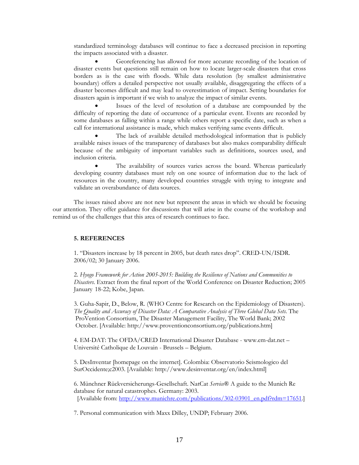standardized terminology databases will continue to face a decreased precision in reporting the impacts associated with a disaster.

• Georeferencing has allowed for more accurate recording of the location of disaster events but questions still remain on how to locate larger-scale disasters that cross borders as is the case with floods. While data resolution (by smallest administrative boundary) offers a detailed perspective not usually available, disaggregating the effects of a disaster becomes difficult and may lead to overestimation of impact. Setting boundaries for disasters again is important if we wish to analyze the impact of similar events.

Issues of the level of resolution of a database are compounded by the difficulty of reporting the date of occurrence of a particular event. Events are recorded by some databases as falling within a range while others report a specific date, such as when a call for international assistance is made, which makes verifying same events difficult.

The lack of available detailed methodological information that is publicly available raises issues of the transparency of databases but also makes comparability difficult because of the ambiguity of important variables such as definitions, sources used, and inclusion criteria.

The availability of sources varies across the board. Whereas particularly developing country databases must rely on one source of information due to the lack of resources in the country, many developed countries struggle with trying to integrate and validate an overabundance of data sources.

The issues raised above are not new but represent the areas in which we should be focusing our attention. They offer guidance for discussions that will arise in the course of the workshop and remind us of the challenges that this area of research continues to face.

#### **5. REFERENCES**

1. "Disasters increase by 18 percent in 2005, but death rates drop". CRED-UN/ISDR. 2006/02; 30 January 2006.

2. *Hyogo Framework for Action 2005-2015: Building the Resilience of Nations and Communities to Disasters.* Extract from the final report of the World Conference on Disaster Reduction; 2005 January 18-22; Kobe, Japan.

3. Guha-Sapir, D., Below, R. (WHO Centre for Research on the Epidemiology of Disasters). *The Quality and Accuracy of Disaster Data: A Comparative Analysis of Three Global Data Sets*. The ProVention Consortium, The Disaster Management Facility, The World Bank; 2002 October. [Available: http://www.proventionconsortium.org/publications.htm]

4. EM-DAT: The OFDA/CRED International Disaster Database - www.em-dat.net – Université Catholique de Louvain - Brussels – Belgium.

5. DesInventar [homepage on the internet]. Colombia: Observatorio Seismologico del SurOccidente;c2003. [Available: http://www.desinventar.org/en/index.html]

6. Münchner Rückversicherungs-Gesellschaft. NatCat *Service*® A guide to the Munich Re database for natural catastrophes. Germany: 2003. [Available from: http://www.munichre.com/publications/302-03901\_en.pdf?rdm=17651.]

7. Personal communication with Maxx Dilley, UNDP; February 2006.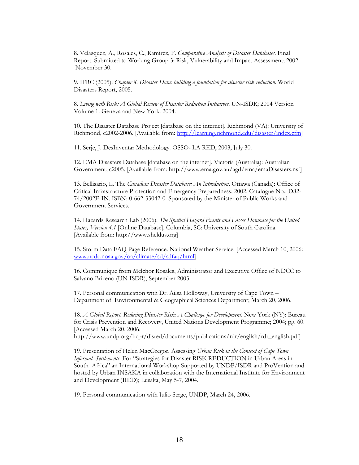8. Velasquez, A., Rosales, C., Ramirez, F. *Comparative Analysis of Disaster Databases*. Final Report. Submitted to Working Group 3: Risk, Vulnerability and Impact Assessment; 2002 November 30.

9. IFRC (2005). *Chapter 8. Disaster Data: building a foundation for disaster risk reduction*. World Disasters Report, 2005.

8. *Living with Risk: A Global Review of Disaster Reduction Initiatives*. UN-ISDR; 2004 Version Volume 1. Geneva and New York: 2004.

10. The Disaster Database Project [database on the internet]. Richmond (VA): University of Richmond, c2002-2006. [Available from: http://learning.richmond.edu/disaster/index.cfm]

11. Serje, J. DesInventar Methodology. OSSO- LA RED, 2003, July 30.

12. EMA Disasters Database [database on the internet]. Victoria (Australia): Australian Government, c2005. [Available from: http://www.ema.gov.au/agd/ema/emaDisasters.nsf]

13. Bellisario, L. The *Canadian Disaster Database: An Introduction*. Ottawa (Canada): Office of Critical Infrastructure Protection and Emergency Preparedness; 2002. Catalogue No.: D82- 74/2002E-IN. ISBN: 0-662-33042-0. Sponsored by the Minister of Public Works and Government Services.

14. Hazards Research Lab (2006). *The Spatial Hazard Events and Losses Database for the United States, Version 4.1* [Online Database]. Columbia, SC: University of South Carolina. [Available from: http://www.sheldus.org]

15. Storm Data FAQ Page Reference. National Weather Service. [Accessed March 10, 2006: www.ncdc.noaa.gov/oa/climate/sd/sdfaq/html]

16. Communique from Melchor Rosales, Administrator and Executive Office of NDCC to Salvano Briceno (UN-ISDR), September 2003.

17. Personal communication with Dr. Ailsa Holloway, University of Cape Town – Department of Environmental & Geographical Sciences Department; March 20, 2006.

18. *A Global Report. Reducing Disaster Risk: A Challenge for Development*. New York (NY): Bureau for Crisis Prevention and Recovery, United Nations Development Programme; 2004; pg. 60. [Accessed March 20, 2006:

http://www.undp.org/bcpr/disred/documents/publications/rdr/english/rdr\_english.pdf]

19. Presentation of Helen MacGregor. Assessing *Urban Risk in the Context of Cape Town Informal Settlements*. For "Strategies for Disaster RISK REDUCTION in Urban Areas in South Africa" an International Workshop Supported by UNDP/ISDR and ProVention and hosted by Urban INSAKA in collaboration with the International Institute for Environment and Development (IIED); Lusaka, May 5-7, 2004.

19. Personal communication with Julio Serge, UNDP, March 24, 2006.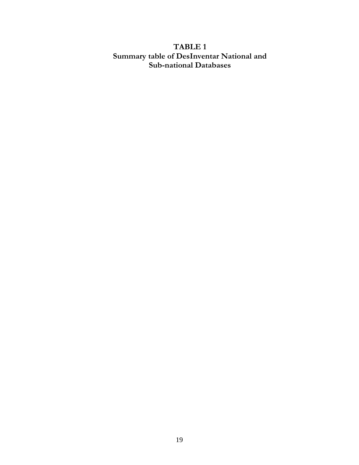# **TABLE 1 Summary table of DesInventar National and Sub-national Databases**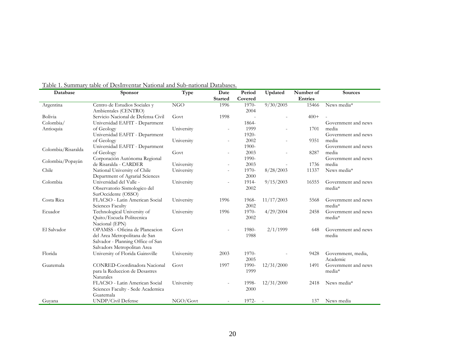| Database           | <b>Sponsor</b>                     | Type       | Date           | Period  | Updated    | Number of | <b>Sources</b>      |  |
|--------------------|------------------------------------|------------|----------------|---------|------------|-----------|---------------------|--|
|                    |                                    |            | <b>Started</b> | Covered |            | Entries   |                     |  |
| Argentina          | Centro de Estudios Sociales y      | <b>NGO</b> | 1996           | 1970-   | 9/30/2005  | 15466     | News media*         |  |
|                    | Ambientales (CENTRO)               |            |                | 2004    |            |           |                     |  |
| Bolivia            | Servicio Nacional de Defensa Civil | Govt       | 1998           |         |            | $400+$    |                     |  |
| Colombia/          | Universidad EAFIT - Department     |            |                | 1864-   |            |           | Government and news |  |
| Antioquia          | of Geology                         | University |                | 1999    |            | 1701      | media               |  |
|                    | Universidad EAFIT - Department     |            |                | 1920-   |            |           | Government and news |  |
|                    | of Geology                         | University |                | 2002    |            | 9351      | media               |  |
| Colombia/Risaralda | Universidad EAFIT - Department     |            |                | 1900-   |            |           | Government and news |  |
|                    | of Geology                         | Govt       |                | 2003    |            | 8287      | media               |  |
| Colombia/Popayán   | Corporación Autónoma Regional      |            |                | 1990-   |            |           | Government and news |  |
|                    | de Risaralda - CARDER              | University |                | 2003    |            | 1736      | media               |  |
| Chile              | National University of Chile       | University |                | 1970-   | 8/28/2003  | 11337     | News media*         |  |
|                    | Department of Agrarial Sciences    |            |                | 2000    |            |           |                     |  |
| Colombia           | Universidad del Valle -            | University |                | 1914-   | 9/15/2003  | 16555     | Government and news |  |
|                    | Observatorio Sismologico del       |            |                | 2002    |            |           | media*              |  |
|                    | SurOccidente (OSSO)                |            |                |         |            |           |                     |  |
| Costa Rica         | FLACSO - Latin American Social     | University | 1996           | 1968-   | 11/17/2003 | 5568      | Government and news |  |
|                    | Sciences Faculty                   |            |                | 2002    |            |           | media*              |  |
| Ecuador            | Technological University of        | University | 1996           | 1970-   | 4/29/2004  | 2458      | Government and news |  |
|                    | Quito/Escuela Politecnica          |            |                | 2002    |            |           | media*              |  |
|                    | Nacional (EPN)                     |            |                |         |            |           |                     |  |
| El Salvador        | OPAMSS - Oficina de Planeacion     | Govt       |                | 1980-   | 2/1/1999   | 648       | Government and news |  |
|                    | del Area Metropolitana de San      |            |                | 1988    |            |           | media               |  |
|                    | Salvador - Planning Office of San  |            |                |         |            |           |                     |  |
|                    | Salvadors Metropolitan Area        |            |                |         |            |           |                     |  |
| Florida            | University of Florida Gainsville   | University | 2003           | 1970-   |            | 9428      | Government, media,  |  |
|                    |                                    |            |                | 2005    |            |           | Academic            |  |
| Guatemala          | CONRED-Coordinadora Nacional       | Govt       | 1997           | 1990-   | 12/31/2000 | 1491      | Government and news |  |
|                    | para la Reduccion de Desastres     |            |                | 1999    |            |           | media*              |  |
|                    | <b>Naturales</b>                   |            |                |         |            |           |                     |  |
|                    | FLACSO - Latin American Social     | University |                | 1998-   | 12/31/2000 | 2418      | News media*         |  |
|                    | Sciences Faculty - Sede Academica  |            |                | 2000    |            |           |                     |  |
|                    | Guatemala                          |            |                |         |            |           |                     |  |
| Guvana             | UNDP/Civil Defense                 | NGO/Govt   |                | 1972-   |            | 137       | News media          |  |

Table 1. Summary table of DesInventar National and Sub-national Databases.